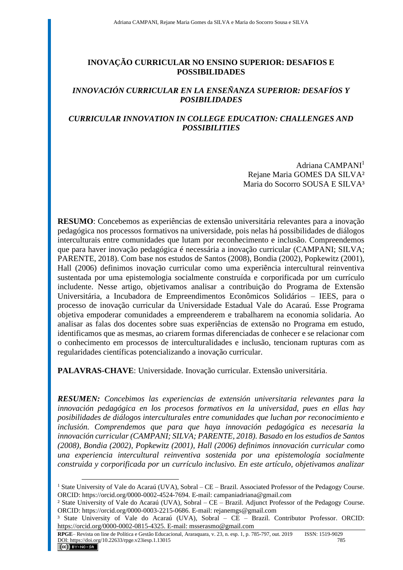## **INOVAÇÃO CURRICULAR NO ENSINO SUPERIOR: DESAFIOS E POSSIBILIDADES**

## *INNOVACIÓN CURRICULAR EN LA ENSEÑANZA SUPERIOR: DESAFÍOS Y POSIBILIDADES*

## *CURRICULAR INNOVATION IN COLLEGE EDUCATION: CHALLENGES AND POSSIBILITIES*

Adriana CAMPANI<sup>1</sup> Rejane Maria GOMES DA SILVA² Maria do Socorro SOUSA E SILVA<sup>3</sup>

**RESUMO**: Concebemos as experiências de extensão universitária relevantes para a inovação pedagógica nos processos formativos na universidade, pois nelas há possibilidades de diálogos interculturais entre comunidades que lutam por reconhecimento e inclusão. Compreendemos que para haver inovação pedagógica é necessária a inovação curricular (CAMPANI; SILVA; PARENTE, 2018). Com base nos estudos de Santos (2008), Bondia (2002), Popkewitz (2001), Hall (2006) definimos inovação curricular como uma experiência intercultural reinventiva sustentada por uma epistemologia socialmente construída e corporificada por um currículo includente. Nesse artigo, objetivamos analisar a contribuição do Programa de Extensão Universitária, a Incubadora de Empreendimentos Econômicos Solidários – IEES, para o processo de inovação curricular da Universidade Estadual Vale do Acaraú. Esse Programa objetiva empoderar comunidades a empreenderem e trabalharem na economia solidaria. Ao analisar as falas dos docentes sobre suas experiências de extensão no Programa em estudo, identificamos que as mesmas, ao criarem formas diferenciadas de conhecer e se relacionar com o conhecimento em processos de interculturalidades e inclusão, tencionam rupturas com as regularidades científicas potencializando a inovação curricular.

**PALAVRAS-CHAVE**: Universidade. Inovação curricular. Extensão universitária.

*RESUMEN: Concebimos las experiencias de extensión universitaria relevantes para la innovación pedagógica en los procesos formativos en la universidad, pues en ellas hay posibilidades de diálogos interculturales entre comunidades que luchan por reconocimiento e inclusión. Comprendemos que para que haya innovación pedagógica es necesaria la innovación curricular (CAMPANI; SILVA; PARENTE, 2018). Basado en los estudios de Santos (2008), Bondia (2002), Popkewitz (2001), Hall (2006) definimos innovación curricular como una experiencia intercultural reinventiva sostenida por una epistemología socialmente construida y corporificada por un currículo inclusivo. En este artículo, objetivamos analizar* 

<sup>&</sup>lt;sup>1</sup> State University of Vale do Acaraú (UVA), Sobral – CE – Brazil. Associated Professor of the Pedagogy Course. ORCID: https://orcid.org/0000-0002-4524-7694. E-mail: campaniadriana@gmail.com

² State University of Vale do Acaraú (UVA), Sobral – CE – Brazil. Adjunct Professor of the Pedagogy Course. ORCID: https://orcid.org/0000-0003-2215-0686. E-mail: rejanemgs@gmail.com

³ State University of Vale do Acaraú (UVA), Sobral – CE – Brazil. Contributor Professor. ORCID: https://orcid.org/0000-0002-0815-4325. E-mail: msserasmo@gmail.com

**RPGE**– Revista on line de Política e Gestão Educacional, Araraquara, v. 23, n. esp. 1, p. 785-797, out. 2019 ISSN: 1519-9029 DOI: https://doi.org/10.22633/rpge.v23iesp.1.13015 785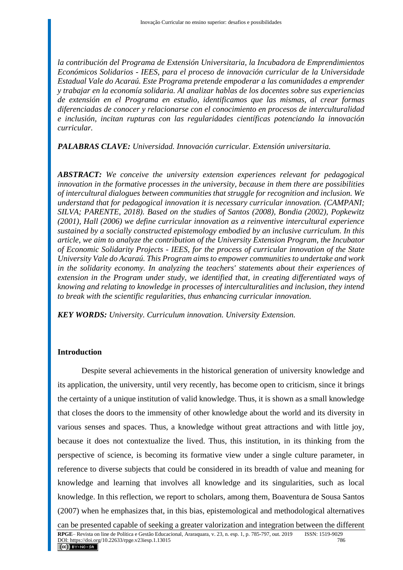*la contribución del Programa de Extensión Universitaria, la Incubadora de Emprendimientos Económicos Solidarios - IEES, para el proceso de innovación curricular de la Universidade Estadual Vale do Acaraú. Este Programa pretende empoderar a las comunidades a emprender y trabajar en la economía solidaria. Al analizar hablas de los docentes sobre sus experiencias de extensión en el Programa en estudio, identificamos que las mismas, al crear formas diferenciadas de conocer y relacionarse con el conocimiento en procesos de interculturalidad e inclusión, incitan rupturas con las regularidades científicas potenciando la innovación curricular.*

*PALABRAS CLAVE: Universidad. Innovación curricular. Extensión universitaria.*

*ABSTRACT: We conceive the university extension experiences relevant for pedagogical innovation in the formative processes in the university, because in them there are possibilities of intercultural dialogues between communities that struggle for recognition and inclusion. We understand that for pedagogical innovation it is necessary curricular innovation. (CAMPANI; SILVA; PARENTE, 2018). Based on the studies of Santos (2008), Bondia (2002), Popkewitz (2001), Hall (2006) we define curricular innovation as a reinventive intercultural experience sustained by a socially constructed epistemology embodied by an inclusive curriculum. In this article, we aim to analyze the contribution of the University Extension Program, the Incubator of Economic Solidarity Projects - IEES, for the process of curricular innovation of the State University Vale do Acaraú. This Program aims to empower communities to undertake and work in the solidarity economy. In analyzing the teachers' statements about their experiences of extension in the Program under study, we identified that, in creating differentiated ways of knowing and relating to knowledge in processes of interculturalities and inclusion, they intend to break with the scientific regularities, thus enhancing curricular innovation.*

*KEY WORDS: University. Curriculum innovation. University Extension.*

### **Introduction**

Despite several achievements in the historical generation of university knowledge and its application, the university, until very recently, has become open to criticism, since it brings the certainty of a unique institution of valid knowledge. Thus, it is shown as a small knowledge that closes the doors to the immensity of other knowledge about the world and its diversity in various senses and spaces. Thus, a knowledge without great attractions and with little joy, because it does not contextualize the lived. Thus, this institution, in its thinking from the perspective of science, is becoming its formative view under a single culture parameter, in reference to diverse subjects that could be considered in its breadth of value and meaning for knowledge and learning that involves all knowledge and its singularities, such as local knowledge. In this reflection, we report to scholars, among them, Boaventura de Sousa Santos (2007) when he emphasizes that, in this bias, epistemological and methodological alternatives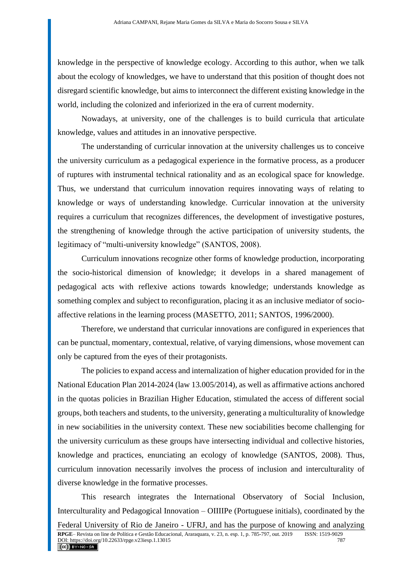knowledge in the perspective of knowledge ecology. According to this author, when we talk about the ecology of knowledges, we have to understand that this position of thought does not disregard scientific knowledge, but aims to interconnect the different existing knowledge in the world, including the colonized and inferiorized in the era of current modernity.

Nowadays, at university, one of the challenges is to build curricula that articulate knowledge, values and attitudes in an innovative perspective.

The understanding of curricular innovation at the university challenges us to conceive the university curriculum as a pedagogical experience in the formative process, as a producer of ruptures with instrumental technical rationality and as an ecological space for knowledge. Thus, we understand that curriculum innovation requires innovating ways of relating to knowledge or ways of understanding knowledge. Curricular innovation at the university requires a curriculum that recognizes differences, the development of investigative postures, the strengthening of knowledge through the active participation of university students, the legitimacy of "multi-university knowledge" (SANTOS, 2008).

Curriculum innovations recognize other forms of knowledge production, incorporating the socio-historical dimension of knowledge; it develops in a shared management of pedagogical acts with reflexive actions towards knowledge; understands knowledge as something complex and subject to reconfiguration, placing it as an inclusive mediator of socioaffective relations in the learning process (MASETTO, 2011; SANTOS, 1996/2000).

Therefore, we understand that curricular innovations are configured in experiences that can be punctual, momentary, contextual, relative, of varying dimensions, whose movement can only be captured from the eyes of their protagonists.

The policies to expand access and internalization of higher education provided for in the National Education Plan 2014-2024 (law 13.005/2014), as well as affirmative actions anchored in the quotas policies in Brazilian Higher Education, stimulated the access of different social groups, both teachers and students, to the university, generating a multiculturality of knowledge in new sociabilities in the university context. These new sociabilities become challenging for the university curriculum as these groups have intersecting individual and collective histories, knowledge and practices, enunciating an ecology of knowledge (SANTOS, 2008). Thus, curriculum innovation necessarily involves the process of inclusion and interculturality of diverse knowledge in the formative processes.

This research integrates the International Observatory of Social Inclusion, Interculturality and Pedagogical Innovation – OIIIIPe (Portuguese initials), coordinated by the Federal University of Rio de Janeiro - UFRJ, and has the purpose of knowing and analyzing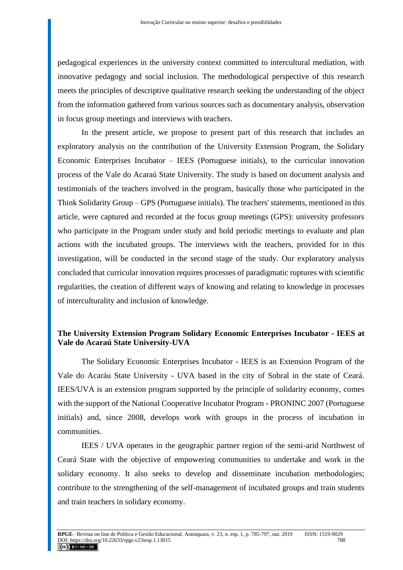pedagogical experiences in the university context committed to intercultural mediation, with innovative pedagogy and social inclusion. The methodological perspective of this research meets the principles of descriptive qualitative research seeking the understanding of the object from the information gathered from various sources such as documentary analysis, observation in focus group meetings and interviews with teachers.

In the present article, we propose to present part of this research that includes an exploratory analysis on the contribution of the University Extension Program, the Solidary Economic Enterprises Incubator – IEES (Portuguese initials), to the curricular innovation process of the Vale do Acaraú State University. The study is based on document analysis and testimonials of the teachers involved in the program, basically those who participated in the Think Solidarity Group – GPS (Portuguese initials). The teachers' statements, mentioned in this article, were captured and recorded at the focus group meetings (GPS): university professors who participate in the Program under study and hold periodic meetings to evaluate and plan actions with the incubated groups. The interviews with the teachers, provided for in this investigation, will be conducted in the second stage of the study. Our exploratory analysis concluded that curricular innovation requires processes of paradigmatic ruptures with scientific regularities, the creation of different ways of knowing and relating to knowledge in processes of interculturality and inclusion of knowledge.

# **The University Extension Program Solidary Economic Enterprises Incubator - IEES at Vale do Acaraú State University-UVA**

The Solidary Economic Enterprises Incubator - IEES is an Extension Program of the Vale do Acaráu State University - UVA based in the city of Sobral in the state of Ceará. IEES/UVA is an extension program supported by the principle of solidarity economy, comes with the support of the National Cooperative Incubator Program - PRONINC 2007 (Portuguese initials) and, since 2008, develops work with groups in the process of incubation in communities.

IEES / UVA operates in the geographic partner region of the semi-arid Northwest of Ceará State with the objective of empowering communities to undertake and work in the solidary economy. It also seeks to develop and disseminate incubation methodologies; contribute to the strengthening of the self-management of incubated groups and train students and train teachers in solidary economy.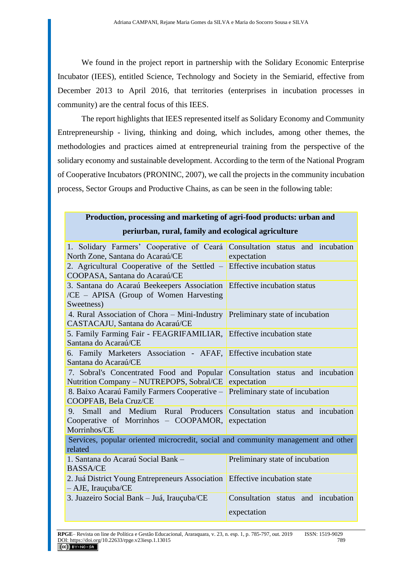We found in the project report in partnership with the Solidary Economic Enterprise Incubator (IEES), entitled Science, Technology and Society in the Semiarid, effective from December 2013 to April 2016, that territories (enterprises in incubation processes in community) are the central focus of this IEES.

The report highlights that IEES represented itself as Solidary Economy and Community Entrepreneurship - living, thinking and doing, which includes, among other themes, the methodologies and practices aimed at entrepreneurial training from the perspective of the solidary economy and sustainable development. According to the term of the National Program of Cooperative Incubators (PRONINC, 2007), we call the projects in the community incubation process, Sector Groups and Productive Chains, as can be seen in the following table:

| Production, processing and marketing of agri-food products: urban and |
|-----------------------------------------------------------------------|
| periurban, rural, family and ecological agriculture                   |

| 1. Solidary Farmers' Cooperative of Ceará Consultation status and incubation<br>North Zone, Santana do Acaraú/CE                                   | expectation                                       |
|----------------------------------------------------------------------------------------------------------------------------------------------------|---------------------------------------------------|
| 2. Agricultural Cooperative of the Settled $-$ Effective incubation status<br>COOPASA, Santana do Acaraú/CE                                        |                                                   |
| 3. Santana do Acaraú Beekeepers Association Effective incubation status<br>/CE – APISA (Group of Women Harvesting<br>Sweetness)                    |                                                   |
| 4. Rural Association of Chora – Mini-Industry Preliminary state of incubation<br>CASTACAJU, Santana do Acaraú/CE                                   |                                                   |
| 5. Family Farming Fair - FEAGRIFAMILIAR, Effective incubation state<br>Santana do Acaraú/CE                                                        |                                                   |
| 6. Family Marketers Association - AFAF, Effective incubation state<br>Santana do Acaraú/CE                                                         |                                                   |
| 7. Sobral's Concentrated Food and Popular Consultation status and incubation<br>Nutrition Company – NUTREPOPS, Sobral/CE expectation               |                                                   |
| 8. Baixo Acaraú Family Farmers Cooperative – Preliminary state of incubation<br>COOPFAB, Bela Cruz/CE                                              |                                                   |
| Small and Medium Rural Producers Consultation status and incubation<br>$9^{+}$<br>Cooperative of Morrinhos – COOPAMOR, expectation<br>Morrinhos/CE |                                                   |
| Services, popular oriented microcredit, social and community management and other<br>related                                                       |                                                   |
| 1. Santana do Acaraú Social Bank -<br><b>BASSA/CE</b>                                                                                              | Preliminary state of incubation                   |
| 2. Juá District Young Entrepreneurs Association<br>- AJE, Irauçuba/CE                                                                              | Effective incubation state                        |
| 3. Juazeiro Social Bank - Juá, Irauçuba/CE                                                                                                         | Consultation status and incubation<br>expectation |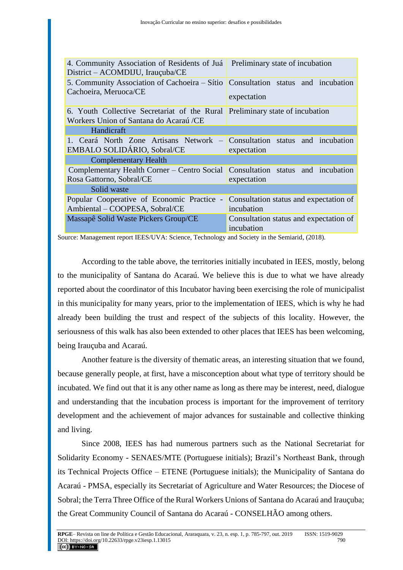| 4. Community Association of Residents of Juá<br>District – ACOMDIJU, Irauçuba/CE | Preliminary state of incubation                      |
|----------------------------------------------------------------------------------|------------------------------------------------------|
| 5. Community Association of Cachoeira – Sítio<br>Cachoeira, Meruoca/CE           | Consultation status and incubation<br>expectation    |
|                                                                                  |                                                      |
| 6. Youth Collective Secretariat of the Rural                                     | Preliminary state of incubation                      |
| Workers Union of Santana do Acaraú /CE                                           |                                                      |
| Handicraft                                                                       |                                                      |
| 1. Ceará North Zone Artisans Network                                             | Consultation status and incubation                   |
| <b>EMBALO SOLIDÁRIO, Sobral/CE</b>                                               | expectation                                          |
| <b>Complementary Health</b>                                                      |                                                      |
| Complementary Health Corner – Centro Social                                      | Consultation status and incubation                   |
| Rosa Gattorno, Sobral/CE                                                         | expectation                                          |
| Solid waste                                                                      |                                                      |
| Popular Cooperative of Economic Practice<br>$\sim$                               | Consultation status and expectation of               |
| Ambiental - COOPESA, Sobral/CE                                                   | incubation                                           |
| Massapê Solid Waste Pickers Group/CE                                             | Consultation status and expectation of<br>incubation |

Source: Management report IEES/UVA: Science, Technology and Society in the Semiarid, (2018).

According to the table above, the territories initially incubated in IEES, mostly, belong to the municipality of Santana do Acaraú. We believe this is due to what we have already reported about the coordinator of this Incubator having been exercising the role of municipalist in this municipality for many years, prior to the implementation of IEES, which is why he had already been building the trust and respect of the subjects of this locality. However, the seriousness of this walk has also been extended to other places that IEES has been welcoming, being Irauçuba and Acaraú.

Another feature is the diversity of thematic areas, an interesting situation that we found, because generally people, at first, have a misconception about what type of territory should be incubated. We find out that it is any other name as long as there may be interest, need, dialogue and understanding that the incubation process is important for the improvement of territory development and the achievement of major advances for sustainable and collective thinking and living.

Since 2008, IEES has had numerous partners such as the National Secretariat for Solidarity Economy - SENAES/MTE (Portuguese initials); Brazil's Northeast Bank, through its Technical Projects Office – ETENE (Portuguese initials); the Municipality of Santana do Acaraú - PMSA, especially its Secretariat of Agriculture and Water Resources; the Diocese of Sobral; the Terra Three Office of the Rural Workers Unions of Santana do Acaraú and Irauçuba; the Great Community Council of Santana do Acaraú - CONSELHÃO among others.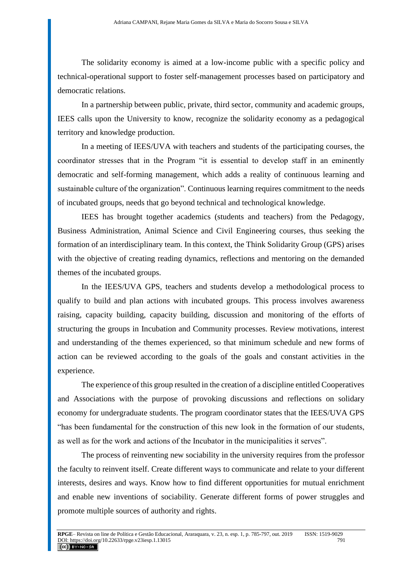The solidarity economy is aimed at a low-income public with a specific policy and technical-operational support to foster self-management processes based on participatory and democratic relations.

In a partnership between public, private, third sector, community and academic groups, IEES calls upon the University to know, recognize the solidarity economy as a pedagogical territory and knowledge production.

In a meeting of IEES/UVA with teachers and students of the participating courses, the coordinator stresses that in the Program "it is essential to develop staff in an eminently democratic and self-forming management, which adds a reality of continuous learning and sustainable culture of the organization". Continuous learning requires commitment to the needs of incubated groups, needs that go beyond technical and technological knowledge.

IEES has brought together academics (students and teachers) from the Pedagogy, Business Administration, Animal Science and Civil Engineering courses, thus seeking the formation of an interdisciplinary team. In this context, the Think Solidarity Group (GPS) arises with the objective of creating reading dynamics, reflections and mentoring on the demanded themes of the incubated groups.

In the IEES/UVA GPS, teachers and students develop a methodological process to qualify to build and plan actions with incubated groups. This process involves awareness raising, capacity building, capacity building, discussion and monitoring of the efforts of structuring the groups in Incubation and Community processes. Review motivations, interest and understanding of the themes experienced, so that minimum schedule and new forms of action can be reviewed according to the goals of the goals and constant activities in the experience.

The experience of this group resulted in the creation of a discipline entitled Cooperatives and Associations with the purpose of provoking discussions and reflections on solidary economy for undergraduate students. The program coordinator states that the IEES/UVA GPS "has been fundamental for the construction of this new look in the formation of our students, as well as for the work and actions of the Incubator in the municipalities it serves".

The process of reinventing new sociability in the university requires from the professor the faculty to reinvent itself. Create different ways to communicate and relate to your different interests, desires and ways. Know how to find different opportunities for mutual enrichment and enable new inventions of sociability. Generate different forms of power struggles and promote multiple sources of authority and rights.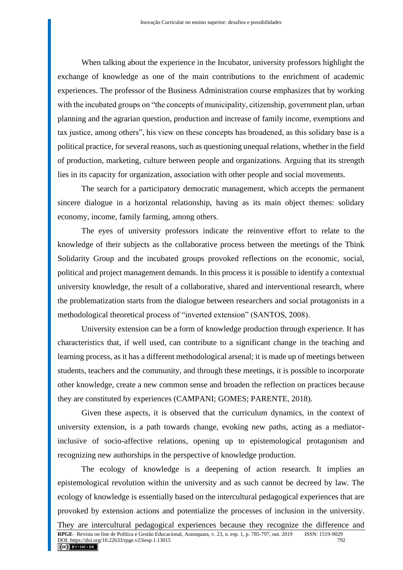When talking about the experience in the Incubator, university professors highlight the exchange of knowledge as one of the main contributions to the enrichment of academic experiences. The professor of the Business Administration course emphasizes that by working with the incubated groups on "the concepts of municipality, citizenship, government plan, urban planning and the agrarian question, production and increase of family income, exemptions and tax justice, among others", his view on these concepts has broadened, as this solidary base is a political practice, for several reasons, such as questioning unequal relations, whether in the field of production, marketing, culture between people and organizations. Arguing that its strength lies in its capacity for organization, association with other people and social movements.

The search for a participatory democratic management, which accepts the permanent sincere dialogue in a horizontal relationship, having as its main object themes: solidary economy, income, family farming, among others.

The eyes of university professors indicate the reinventive effort to relate to the knowledge of their subjects as the collaborative process between the meetings of the Think Solidarity Group and the incubated groups provoked reflections on the economic, social, political and project management demands. In this process it is possible to identify a contextual university knowledge, the result of a collaborative, shared and interventional research, where the problematization starts from the dialogue between researchers and social protagonists in a methodological theoretical process of "inverted extension" (SANTOS, 2008).

University extension can be a form of knowledge production through experience. It has characteristics that, if well used, can contribute to a significant change in the teaching and learning process, as it has a different methodological arsenal; it is made up of meetings between students, teachers and the community, and through these meetings, it is possible to incorporate other knowledge, create a new common sense and broaden the reflection on practices because they are constituted by experiences (CAMPANI; GOMES; PARENTE, 2018).

Given these aspects, it is observed that the curriculum dynamics, in the context of university extension, is a path towards change, evoking new paths, acting as a mediatorinclusive of socio-affective relations, opening up to epistemological protagonism and recognizing new authorships in the perspective of knowledge production.

The ecology of knowledge is a deepening of action research. It implies an epistemological revolution within the university and as such cannot be decreed by law. The ecology of knowledge is essentially based on the intercultural pedagogical experiences that are provoked by extension actions and potentialize the processes of inclusion in the university. They are intercultural pedagogical experiences because they recognize the difference and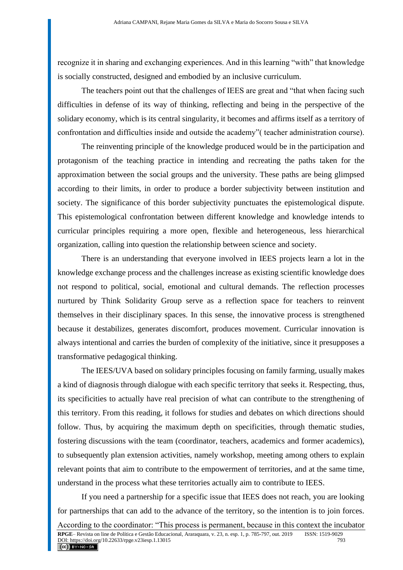recognize it in sharing and exchanging experiences. And in this learning "with" that knowledge is socially constructed, designed and embodied by an inclusive curriculum.

The teachers point out that the challenges of IEES are great and "that when facing such difficulties in defense of its way of thinking, reflecting and being in the perspective of the solidary economy, which is its central singularity, it becomes and affirms itself as a territory of confrontation and difficulties inside and outside the academy"( teacher administration course).

The reinventing principle of the knowledge produced would be in the participation and protagonism of the teaching practice in intending and recreating the paths taken for the approximation between the social groups and the university. These paths are being glimpsed according to their limits, in order to produce a border subjectivity between institution and society. The significance of this border subjectivity punctuates the epistemological dispute. This epistemological confrontation between different knowledge and knowledge intends to curricular principles requiring a more open, flexible and heterogeneous, less hierarchical organization, calling into question the relationship between science and society.

There is an understanding that everyone involved in IEES projects learn a lot in the knowledge exchange process and the challenges increase as existing scientific knowledge does not respond to political, social, emotional and cultural demands. The reflection processes nurtured by Think Solidarity Group serve as a reflection space for teachers to reinvent themselves in their disciplinary spaces. In this sense, the innovative process is strengthened because it destabilizes, generates discomfort, produces movement. Curricular innovation is always intentional and carries the burden of complexity of the initiative, since it presupposes a transformative pedagogical thinking.

The IEES/UVA based on solidary principles focusing on family farming, usually makes a kind of diagnosis through dialogue with each specific territory that seeks it. Respecting, thus, its specificities to actually have real precision of what can contribute to the strengthening of this territory. From this reading, it follows for studies and debates on which directions should follow. Thus, by acquiring the maximum depth on specificities, through thematic studies, fostering discussions with the team (coordinator, teachers, academics and former academics), to subsequently plan extension activities, namely workshop, meeting among others to explain relevant points that aim to contribute to the empowerment of territories, and at the same time, understand in the process what these territories actually aim to contribute to IEES.

If you need a partnership for a specific issue that IEES does not reach, you are looking for partnerships that can add to the advance of the territory, so the intention is to join forces.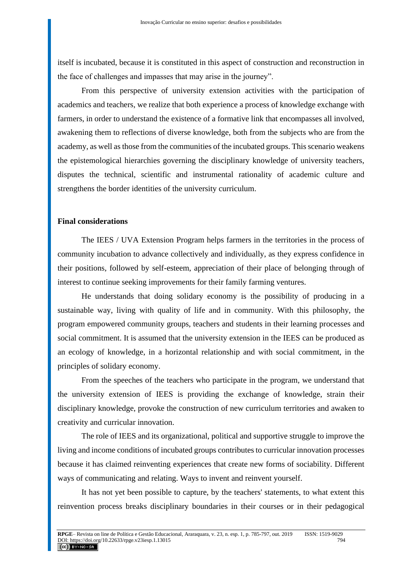itself is incubated, because it is constituted in this aspect of construction and reconstruction in the face of challenges and impasses that may arise in the journey".

From this perspective of university extension activities with the participation of academics and teachers, we realize that both experience a process of knowledge exchange with farmers, in order to understand the existence of a formative link that encompasses all involved, awakening them to reflections of diverse knowledge, both from the subjects who are from the academy, as well as those from the communities of the incubated groups. This scenario weakens the epistemological hierarchies governing the disciplinary knowledge of university teachers, disputes the technical, scientific and instrumental rationality of academic culture and strengthens the border identities of the university curriculum.

#### **Final considerations**

The IEES / UVA Extension Program helps farmers in the territories in the process of community incubation to advance collectively and individually, as they express confidence in their positions, followed by self-esteem, appreciation of their place of belonging through of interest to continue seeking improvements for their family farming ventures.

He understands that doing solidary economy is the possibility of producing in a sustainable way, living with quality of life and in community. With this philosophy, the program empowered community groups, teachers and students in their learning processes and social commitment. It is assumed that the university extension in the IEES can be produced as an ecology of knowledge, in a horizontal relationship and with social commitment, in the principles of solidary economy.

From the speeches of the teachers who participate in the program, we understand that the university extension of IEES is providing the exchange of knowledge, strain their disciplinary knowledge, provoke the construction of new curriculum territories and awaken to creativity and curricular innovation.

The role of IEES and its organizational, political and supportive struggle to improve the living and income conditions of incubated groups contributes to curricular innovation processes because it has claimed reinventing experiences that create new forms of sociability. Different ways of communicating and relating. Ways to invent and reinvent yourself.

It has not yet been possible to capture, by the teachers' statements, to what extent this reinvention process breaks disciplinary boundaries in their courses or in their pedagogical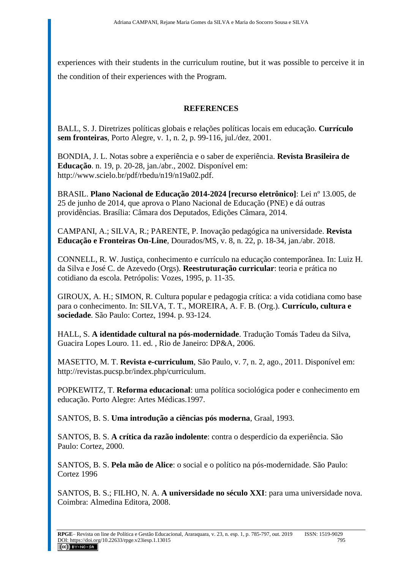experiences with their students in the curriculum routine, but it was possible to perceive it in the condition of their experiences with the Program.

## **REFERENCES**

BALL, S. J. Diretrizes políticas globais e relações políticas locais em educação. **Currículo sem fronteiras**, Porto Alegre, v. 1, n. 2, p. 99-116, jul./dez, 2001.

BONDIA, J. L. Notas sobre a experiência e o saber de experiência. **Revista Brasileira de Educação**. n. 19, p. 20-28, jan./abr., 2002. Disponível em: [http://www.scielo.br/pdf/rbedu/n19/n19a02.pdf.](http://www.scielo.br/pdf/rbedu/n19/n19a02.pdf)

BRASIL. **Plano Nacional de Educação 2014-2024 [recurso eletrônico]**: Lei nº 13.005, de 25 de junho de 2014, que aprova o Plano Nacional de Educação (PNE) e dá outras providências. Brasília: Câmara dos Deputados, Edições Câmara, 2014.

CAMPANI, A.; SILVA, R.; PARENTE, P. Inovação pedagógica na universidade. **Revista Educação e Fronteiras On-Line**, Dourados/MS, v. 8, n. 22, p. 18-34, jan./abr. 2018.

CONNELL, R. W. Justiça, conhecimento e currículo na educação contemporânea. In: Luiz H. da Silva e José C. de Azevedo (Orgs). **Reestruturação curricular**: teoria e prática no cotidiano da escola. Petrópolis: Vozes, 1995, p. 11-35.

GIROUX, A. H.; SIMON, R. Cultura popular e pedagogia crítica: a vida cotidiana como base para o conhecimento. In: SILVA, T. T., MOREIRA, A. F. B. (Org.). **Currículo, cultura e sociedade**. São Paulo: Cortez, 1994. p. 93-124.

HALL, S. **A identidade cultural na pós-modernidade**. Tradução Tomás Tadeu da Silva, Guacira Lopes Louro. 11. ed. , Rio de Janeiro: DP&A, 2006.

MASETTO, M. T. **Revista e-curriculum**, São Paulo, v. 7, n. 2, ago., 2011. Disponível em: [http://revistas.pucsp.br/index.php/curriculum.](http://revistas.pucsp.br/index.php/curriculum)

POPKEWITZ, T. **Reforma educacional**: uma política sociológica poder e conhecimento em educação. Porto Alegre: Artes Médicas.1997.

SANTOS, B. S. **Uma introdução a ciências pós moderna**, Graal, 1993.

SANTOS, B. S. **A crítica da razão indolente**: contra o desperdício da experiência. São Paulo: Cortez, 2000.

SANTOS, B. S. **Pela mão de Alice**: o social e o político na pós-modernidade. São Paulo: Cortez 1996

SANTOS, B. S.; FILHO, N. A. **A universidade no século XXI**: para uma universidade nova. Coimbra: Almedina Editora, 2008.